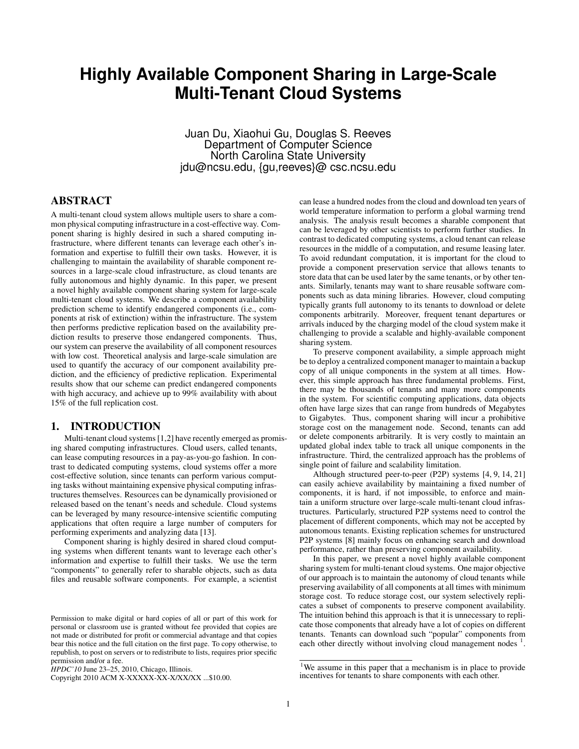# **Highly Available Component Sharing in Large-Scale Multi-Tenant Cloud Systems**

Juan Du, Xiaohui Gu, Douglas S. Reeves Department of Computer Science North Carolina State University jdu@ncsu.edu, {gu,reeves}@ csc.ncsu.edu

# ABSTRACT

A multi-tenant cloud system allows multiple users to share a common physical computing infrastructure in a cost-effective way. Component sharing is highly desired in such a shared computing infrastructure, where different tenants can leverage each other's information and expertise to fulfill their own tasks. However, it is challenging to maintain the availability of sharable component resources in a large-scale cloud infrastructure, as cloud tenants are fully autonomous and highly dynamic. In this paper, we present a novel highly available component sharing system for large-scale multi-tenant cloud systems. We describe a component availability prediction scheme to identify endangered components (i.e., components at risk of extinction) within the infrastructure. The system then performs predictive replication based on the availability prediction results to preserve those endangered components. Thus, our system can preserve the availability of all component resources with low cost. Theoretical analysis and large-scale simulation are used to quantify the accuracy of our component availability prediction, and the efficiency of predictive replication. Experimental results show that our scheme can predict endangered components with high accuracy, and achieve up to 99% availability with about 15% of the full replication cost.

# 1. INTRODUCTION

Multi-tenant cloud systems [1,2] have recently emerged as promising shared computing infrastructures. Cloud users, called tenants, can lease computing resources in a pay-as-you-go fashion. In contrast to dedicated computing systems, cloud systems offer a more cost-effective solution, since tenants can perform various computing tasks without maintaining expensive physical computing infrastructures themselves. Resources can be dynamically provisioned or released based on the tenant's needs and schedule. Cloud systems can be leveraged by many resource-intensive scientific computing applications that often require a large number of computers for performing experiments and analyzing data [13].

Component sharing is highly desired in shared cloud computing systems when different tenants want to leverage each other's information and expertise to fulfill their tasks. We use the term "components" to generally refer to sharable objects, such as data files and reusable software components. For example, a scientist

Copyright 2010 ACM X-XXXXX-XX-X/XX/XX ...\$10.00.

can lease a hundred nodes from the cloud and download ten years of world temperature information to perform a global warming trend analysis. The analysis result becomes a sharable component that can be leveraged by other scientists to perform further studies. In contrast to dedicated computing systems, a cloud tenant can release resources in the middle of a computation, and resume leasing later. To avoid redundant computation, it is important for the cloud to provide a component preservation service that allows tenants to store data that can be used later by the same tenants, or by other tenants. Similarly, tenants may want to share reusable software components such as data mining libraries. However, cloud computing typically grants full autonomy to its tenants to download or delete components arbitrarily. Moreover, frequent tenant departures or arrivals induced by the charging model of the cloud system make it challenging to provide a scalable and highly-available component sharing system.

To preserve component availability, a simple approach might be to deploy a centralized component manager to maintain a backup copy of all unique components in the system at all times. However, this simple approach has three fundamental problems. First, there may be thousands of tenants and many more components in the system. For scientific computing applications, data objects often have large sizes that can range from hundreds of Megabytes to Gigabytes. Thus, component sharing will incur a prohibitive storage cost on the management node. Second, tenants can add or delete components arbitrarily. It is very costly to maintain an updated global index table to track all unique components in the infrastructure. Third, the centralized approach has the problems of single point of failure and scalability limitation.

Although structured peer-to-peer (P2P) systems [4, 9, 14, 21] can easily achieve availability by maintaining a fixed number of components, it is hard, if not impossible, to enforce and maintain a uniform structure over large-scale multi-tenant cloud infrastructures. Particularly, structured P2P systems need to control the placement of different components, which may not be accepted by autonomous tenants. Existing replication schemes for unstructured P2P systems [8] mainly focus on enhancing search and download performance, rather than preserving component availability.

In this paper, we present a novel highly available component sharing system for multi-tenant cloud systems. One major objective of our approach is to maintain the autonomy of cloud tenants while preserving availability of all components at all times with minimum storage cost. To reduce storage cost, our system selectively replicates a subset of components to preserve component availability. The intuition behind this approach is that it is unnecessary to replicate those components that already have a lot of copies on different tenants. Tenants can download such "popular" components from each other directly without involving cloud management nodes <sup>1</sup>.

Permission to make digital or hard copies of all or part of this work for personal or classroom use is granted without fee provided that copies are not made or distributed for profit or commercial advantage and that copies bear this notice and the full citation on the first page. To copy otherwise, to republish, to post on servers or to redistribute to lists, requires prior specific permission and/or a fee.

*HPDC'10* June 23–25, 2010, Chicago, Illinois.

<sup>&</sup>lt;sup>1</sup>We assume in this paper that a mechanism is in place to provide incentives for tenants to share components with each other.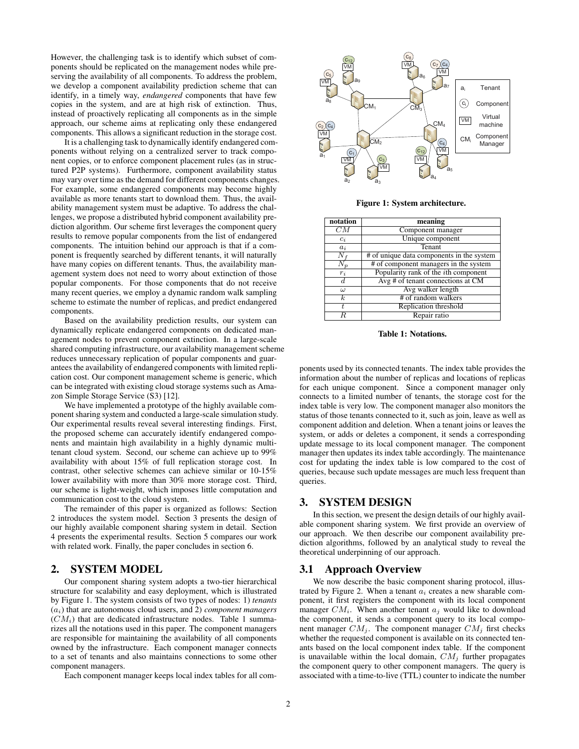However, the challenging task is to identify which subset of components should be replicated on the management nodes while preserving the availability of all components. To address the problem, we develop a component availability prediction scheme that can identify, in a timely way, *endangered* components that have few copies in the system, and are at high risk of extinction. Thus, instead of proactively replicating all components as in the simple approach, our scheme aims at replicating only these endangered components. This allows a significant reduction in the storage cost.

It is a challenging task to dynamically identify endangered components without relying on a centralized server to track component copies, or to enforce component placement rules (as in structured P2P systems). Furthermore, component availability status may vary over time as the demand for different components changes. For example, some endangered components may become highly available as more tenants start to download them. Thus, the availability management system must be adaptive. To address the challenges, we propose a distributed hybrid component availability prediction algorithm. Our scheme first leverages the component query results to remove popular components from the list of endangered components. The intuition behind our approach is that if a component is frequently searched by different tenants, it will naturally have many copies on different tenants. Thus, the availability management system does not need to worry about extinction of those popular components. For those components that do not receive many recent queries, we employ a dynamic random walk sampling scheme to estimate the number of replicas, and predict endangered components.

Based on the availability prediction results, our system can dynamically replicate endangered components on dedicated management nodes to prevent component extinction. In a large-scale shared computing infrastructure, our availability management scheme reduces unnecessary replication of popular components and guarantees the availability of endangered components with limited replication cost. Our component management scheme is generic, which can be integrated with existing cloud storage systems such as Amazon Simple Storage Service (S3) [12].

We have implemented a prototype of the highly available component sharing system and conducted a large-scale simulation study. Our experimental results reveal several interesting findings. First, the proposed scheme can accurately identify endangered components and maintain high availability in a highly dynamic multitenant cloud system. Second, our scheme can achieve up to 99% availability with about 15% of full replication storage cost. In contrast, other selective schemes can achieve similar or 10-15% lower availability with more than 30% more storage cost. Third, our scheme is light-weight, which imposes little computation and communication cost to the cloud system.

The remainder of this paper is organized as follows: Section 2 introduces the system model. Section 3 presents the design of our highly available component sharing system in detail. Section 4 presents the experimental results. Section 5 compares our work with related work. Finally, the paper concludes in section 6.

# 2. SYSTEM MODEL

Our component sharing system adopts a two-tier hierarchical structure for scalability and easy deployment, which is illustrated by Figure 1. The system consists of two types of nodes: 1) *tenants* (a*i*) that are autonomous cloud users, and 2) *component managers*  $(CM_i)$  that are dedicated infrastructure nodes. Table 1 summarizes all the notations used in this paper. The component managers are responsible for maintaining the availability of all components owned by the infrastructure. Each component manager connects to a set of tenants and also maintains connections to some other component managers.

Each component manager keeps local index tables for all com-



Figure 1: System architecture.

| notation | meaning                                      |
|----------|----------------------------------------------|
| CM       | Component manager                            |
| $c_i$    | Unique component                             |
| $a_i$    | Tenant                                       |
| N        | # of unique data components in the system    |
|          | # of component managers in the system        |
| $r_i$    | Popularity rank of the <i>i</i> th component |
|          | Avg # of tenant connections at CM            |
| $\omega$ | Avg walker length                            |
| k.       | # of random walkers                          |
| t.       | Replication threshold                        |
|          | Repair ratio                                 |

Table 1: Notations.

ponents used by its connected tenants. The index table provides the information about the number of replicas and locations of replicas for each unique component. Since a component manager only connects to a limited number of tenants, the storage cost for the index table is very low. The component manager also monitors the status of those tenants connected to it, such as join, leave as well as component addition and deletion. When a tenant joins or leaves the system, or adds or deletes a component, it sends a corresponding update message to its local component manager. The component manager then updates its index table accordingly. The maintenance cost for updating the index table is low compared to the cost of queries, because such update messages are much less frequent than queries.

# 3. SYSTEM DESIGN

In this section, we present the design details of our highly available component sharing system. We first provide an overview of our approach. We then describe our component availability prediction algorithms, followed by an analytical study to reveal the theoretical underpinning of our approach.

#### 3.1 Approach Overview

We now describe the basic component sharing protocol, illustrated by Figure 2. When a tenant a*<sup>i</sup>* creates a new sharable component, it first registers the component with its local component manager  $CM_i$ . When another tenant  $a_j$  would like to download the component, it sends a component query to its local component manager  $CM_i$ . The component manager  $CM_i$  first checks whether the requested component is available on its connected tenants based on the local component index table. If the component is unavailable within the local domain,  $CM_i$  further propagates the component query to other component managers. The query is associated with a time-to-live (TTL) counter to indicate the number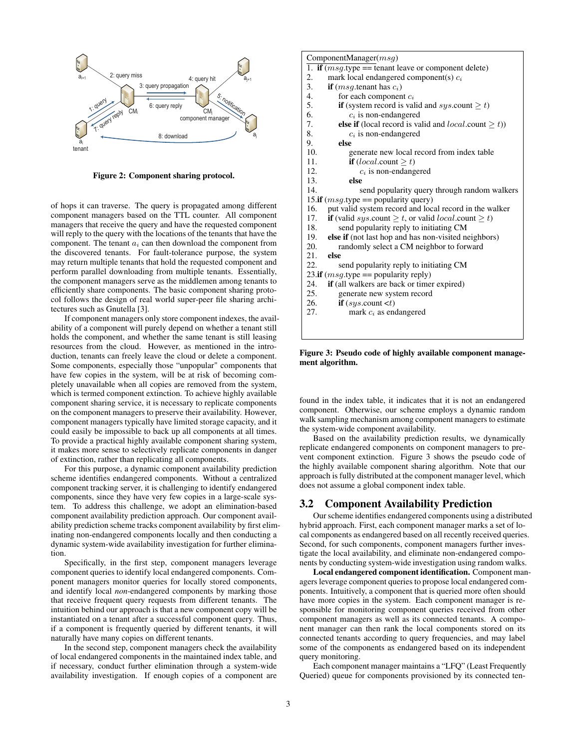

Figure 2: Component sharing protocol.

of hops it can traverse. The query is propagated among different component managers based on the TTL counter. All component managers that receive the query and have the requested component will reply to the query with the locations of the tenants that have the component. The tenant a*<sup>i</sup>* can then download the component from the discovered tenants. For fault-tolerance purpose, the system may return multiple tenants that hold the requested component and perform parallel downloading from multiple tenants. Essentially, the component managers serve as the middlemen among tenants to efficiently share components. The basic component sharing protocol follows the design of real world super-peer file sharing architectures such as Gnutella [3].

If component managers only store component indexes, the availability of a component will purely depend on whether a tenant still holds the component, and whether the same tenant is still leasing resources from the cloud. However, as mentioned in the introduction, tenants can freely leave the cloud or delete a component. Some components, especially those "unpopular" components that have few copies in the system, will be at risk of becoming completely unavailable when all copies are removed from the system, which is termed component extinction. To achieve highly available component sharing service, it is necessary to replicate components on the component managers to preserve their availability. However, component managers typically have limited storage capacity, and it could easily be impossible to back up all components at all times. To provide a practical highly available component sharing system, it makes more sense to selectively replicate components in danger of extinction, rather than replicating all components.

For this purpose, a dynamic component availability prediction scheme identifies endangered components. Without a centralized component tracking server, it is challenging to identify endangered components, since they have very few copies in a large-scale system. To address this challenge, we adopt an elimination-based component availability prediction approach. Our component availability prediction scheme tracks component availability by first eliminating non-endangered components locally and then conducting a dynamic system-wide availability investigation for further elimination.

Specifically, in the first step, component managers leverage component queries to identify local endangered components. Component managers monitor queries for locally stored components, and identify local *non*-endangered components by marking those that receive frequent query requests from different tenants. The intuition behind our approach is that a new component copy will be instantiated on a tenant after a successful component query. Thus, if a component is frequently queried by different tenants, it will naturally have many copies on different tenants.

In the second step, component managers check the availability of local endangered components in the maintained index table, and if necessary, conduct further elimination through a system-wide availability investigation. If enough copies of a component are

|                                         | ComponentManager $(msq)$                                                      |
|-----------------------------------------|-------------------------------------------------------------------------------|
|                                         | 1. <b>if</b> $(msg.type ==$ tenant leave or component delete)                 |
| 2.                                      | mark local endangered component(s) $c_i$                                      |
| 3.                                      | <b>if</b> $(msq$ , tenant has $c_i$ )                                         |
| 4.                                      | for each component $c_i$                                                      |
| 5.                                      | <b>if</b> (system record is valid and sys.count $\geq t$ )                    |
| 6.                                      | $c_i$ is non-endangered                                                       |
| 7.                                      | <b>else if</b> (local record is valid and <i>local</i> count $\geq t$ ))      |
| 8.                                      | $c_i$ is non-endangered                                                       |
| 9.                                      | else                                                                          |
| 10.                                     | generate new local record from index table                                    |
| 11.                                     | <b>if</b> $(local.count \ge t)$                                               |
| 12.                                     | $c_i$ is non-endangered                                                       |
| 13.                                     | else                                                                          |
| 14.                                     | send popularity query through random walkers                                  |
| 15.if $(msg. type == popularity query)$ |                                                                               |
| 16.                                     | put valid system record and local record in the walker                        |
| 17.                                     | <b>if</b> (valid sys.count $\geq t$ , or valid <i>local</i> .count $\geq t$ ) |
| 18.                                     | send popularity reply to initiating CM                                        |
| 19.                                     | else if (not last hop and has non-visited neighbors)                          |
| 20.                                     | randomly select a CM neighbor to forward                                      |
| 21.                                     | else                                                                          |
| 22.                                     | send popularity reply to initiating CM                                        |
|                                         | 23.if $(msg. type == popularity reply)$                                       |
| 24.                                     | if (all walkers are back or timer expired)                                    |
| 25.                                     | generate new system record                                                    |
| 26.                                     | <b>if</b> $(sys.count < t)$                                                   |
| 27.                                     | mark $c_i$ as endangered                                                      |
|                                         |                                                                               |
|                                         |                                                                               |
|                                         |                                                                               |

Figure 3: Pseudo code of highly available component management algorithm.

found in the index table, it indicates that it is not an endangered component. Otherwise, our scheme employs a dynamic random walk sampling mechanism among component managers to estimate the system-wide component availability.

Based on the availability prediction results, we dynamically replicate endangered components on component managers to prevent component extinction. Figure 3 shows the pseudo code of the highly available component sharing algorithm. Note that our approach is fully distributed at the component manager level, which does not assume a global component index table.

## 3.2 Component Availability Prediction

Our scheme identifies endangered components using a distributed hybrid approach. First, each component manager marks a set of local components as endangered based on all recently received queries. Second, for such components, component managers further investigate the local availability, and eliminate non-endangered components by conducting system-wide investigation using random walks.

Local endangered component identification. Component managers leverage component queries to propose local endangered components. Intuitively, a component that is queried more often should have more copies in the system. Each component manager is responsible for monitoring component queries received from other component managers as well as its connected tenants. A component manager can then rank the local components stored on its connected tenants according to query frequencies, and may label some of the components as endangered based on its independent query monitoring.

Each component manager maintains a "LFQ" (Least Frequently Queried) queue for components provisioned by its connected ten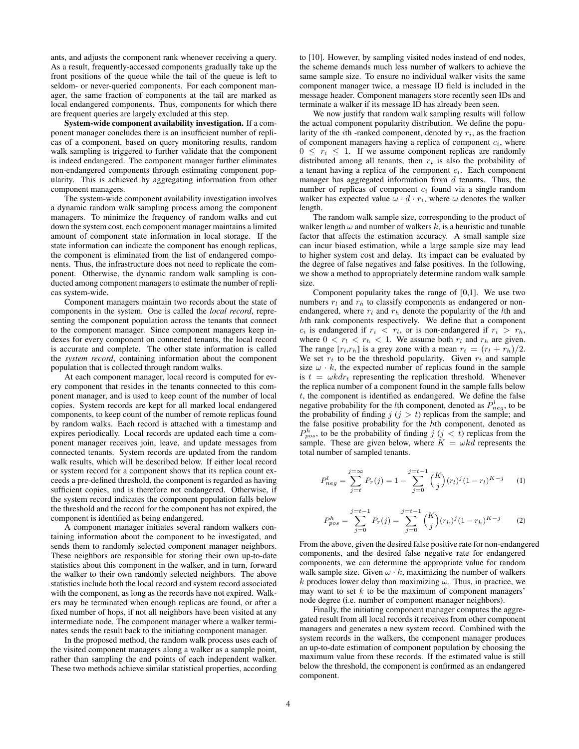ants, and adjusts the component rank whenever receiving a query. As a result, frequently-accessed components gradually take up the front positions of the queue while the tail of the queue is left to seldom- or never-queried components. For each component manager, the same fraction of components at the tail are marked as local endangered components. Thus, components for which there are frequent queries are largely excluded at this step.

System-wide component availability investigation. If a component manager concludes there is an insufficient number of replicas of a component, based on query monitoring results, random walk sampling is triggered to further validate that the component is indeed endangered. The component manager further eliminates non-endangered components through estimating component popularity. This is achieved by aggregating information from other component managers.

The system-wide component availability investigation involves a dynamic random walk sampling process among the component managers. To minimize the frequency of random walks and cut down the system cost, each component manager maintains a limited amount of component state information in local storage. If the state information can indicate the component has enough replicas, the component is eliminated from the list of endangered components. Thus, the infrastructure does not need to replicate the component. Otherwise, the dynamic random walk sampling is conducted among component managers to estimate the number of replicas system-wide.

Component managers maintain two records about the state of components in the system. One is called the *local record*, representing the component population across the tenants that connect to the component manager. Since component managers keep indexes for every component on connected tenants, the local record is accurate and complete. The other state information is called the *system record*, containing information about the component population that is collected through random walks.

At each component manager, local record is computed for every component that resides in the tenants connected to this component manager, and is used to keep count of the number of local copies. System records are kept for all marked local endangered components, to keep count of the number of remote replicas found by random walks. Each record is attached with a timestamp and expires periodically. Local records are updated each time a component manager receives join, leave, and update messages from connected tenants. System records are updated from the random walk results, which will be described below. If either local record or system record for a component shows that its replica count exceeds a pre-defined threshold, the component is regarded as having sufficient copies, and is therefore not endangered. Otherwise, if the system record indicates the component population falls below the threshold and the record for the component has not expired, the component is identified as being endangered.

A component manager initiates several random walkers containing information about the component to be investigated, and sends them to randomly selected component manager neighbors. These neighbors are responsible for storing their own up-to-date statistics about this component in the walker, and in turn, forward the walker to their own randomly selected neighbors. The above statistics include both the local record and system record associated with the component, as long as the records have not expired. Walkers may be terminated when enough replicas are found, or after a fixed number of hops, if not all neighbors have been visited at any intermediate node. The component manager where a walker terminates sends the result back to the initiating component manager.

In the proposed method, the random walk process uses each of the visited component managers along a walker as a sample point, rather than sampling the end points of each independent walker. These two methods achieve similar statistical properties, according to [10]. However, by sampling visited nodes instead of end nodes, the scheme demands much less number of walkers to achieve the same sample size. To ensure no individual walker visits the same component manager twice, a message ID field is included in the message header. Component managers store recently seen IDs and terminate a walker if its message ID has already been seen.

We now justify that random walk sampling results will follow the actual component popularity distribution. We define the popularity of the *i*th -ranked component, denoted by  $r_i$ , as the fraction of component managers having a replica of component  $c_i$ , where  $0 \leq r_i \leq 1$ . If we assume component replicas are randomly distributed among all tenants, then r*<sup>i</sup>* is also the probability of a tenant having a replica of the component c*i*. Each component manager has aggregated information from  $d$  tenants. Thus, the number of replicas of component c*<sup>i</sup>* found via a single random walker has expected value  $\omega \cdot d \cdot r_i$ , where  $\omega$  denotes the walker length.

The random walk sample size, corresponding to the product of walker length  $\omega$  and number of walkers k, is a heuristic and tunable factor that affects the estimation accuracy. A small sample size can incur biased estimation, while a large sample size may lead to higher system cost and delay. Its impact can be evaluated by the degree of false negatives and false positives. In the following, we show a method to appropriately determine random walk sample size.

Component popularity takes the range of [0,1]. We use two numbers  $r_l$  and  $r_h$  to classify components as endangered or nonendangered, where  $r_l$  and  $r_h$  denote the popularity of the *l*th and hth rank components respectively. We define that a component  $c_i$  is endangered if  $r_i \, \langle r_l, \text{ or is non-endanged if } r_i \, \rangle \, r_h$ , where  $0 < r_l < r_h < 1$ . We assume both  $r_l$  and  $r_h$  are given. The range  $[r_l, r_h]$  is a grey zone with a mean  $r_t = (r_l + r_h)/2$ . We set  $r_t$  to be the threshold popularity. Given  $r_t$  and sample size  $\omega \cdot k$ , the expected number of replicas found in the sample is  $t = \omega k dr_t$  representing the replication threshold. Whenever the replica number of a component found in the sample falls below  $t$ , the component is identified as endangered. We define the false negative probability for the *l*th component, denoted as  $P_{neg}^l$ , to be the probability of finding  $j$  ( $j > t$ ) replicas from the sample; and the false positive probability for the hth component, denoted as  $P_{pos}^h$ , to be the probability of finding  $j$  ( $j < \tilde{t}$ ) replicas from the sample. These are given below, where  $K = \omega k d$  represents the total number of sampled tenants.

$$
P_{neg}^l = \sum_{j=t}^{j=\infty} P_r(j) = 1 - \sum_{j=0}^{j=t-1} {K \choose j} (r_l)^j (1-r_l)^{K-j} \tag{1}
$$

$$
P_{pos}^h = \sum_{j=0}^{j=t-1} P_r(j) = \sum_{j=0}^{j=t-1} {K \choose j} (r_h)^j (1 - r_h)^{K-j}
$$
 (2)

From the above, given the desired false positive rate for non-endangered components, and the desired false negative rate for endangered components, we can determine the appropriate value for random walk sample size. Given  $\omega \cdot k$ , maximizing the number of walkers k produces lower delay than maximizing  $\omega$ . Thus, in practice, we may want to set  $k$  to be the maximum of component managers' node degree (i.e. number of component manager neighbors).

Finally, the initiating component manager computes the aggregated result from all local records it receives from other component managers and generates a new system record. Combined with the system records in the walkers, the component manager produces an up-to-date estimation of component population by choosing the maximum value from these records. If the estimated value is still below the threshold, the component is confirmed as an endangered component.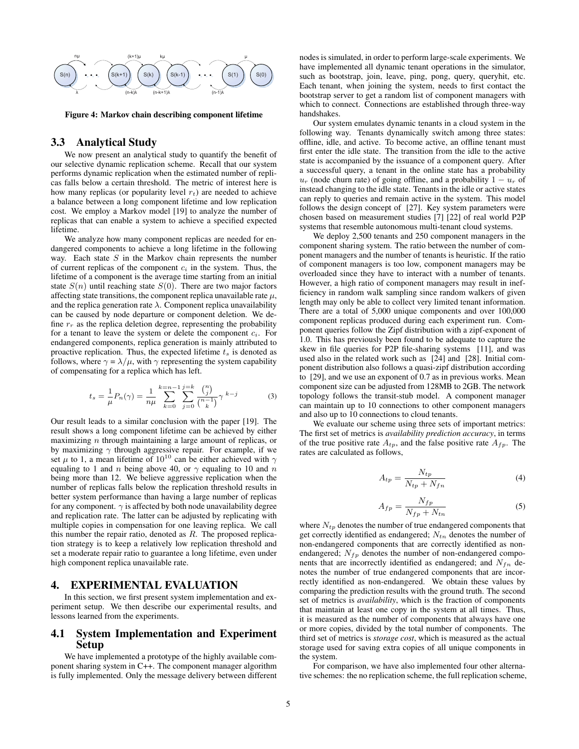

Figure 4: Markov chain describing component lifetime

#### 3.3 Analytical Study

We now present an analytical study to quantify the benefit of our selective dynamic replication scheme. Recall that our system performs dynamic replication when the estimated number of replicas falls below a certain threshold. The metric of interest here is how many replicas (or popularity level  $r_t$ ) are needed to achieve a balance between a long component lifetime and low replication cost. We employ a Markov model [19] to analyze the number of replicas that can enable a system to achieve a specified expected lifetime.

We analyze how many component replicas are needed for endangered components to achieve a long lifetime in the following way. Each state  $S$  in the Markov chain represents the number of current replicas of the component c*<sup>i</sup>* in the system. Thus, the lifetime of a component is the average time starting from an initial state  $S(n)$  until reaching state  $S(0)$ . There are two major factors affecting state transitions, the component replica unavailable rate  $\mu$ , and the replica generation rate  $\lambda$ . Component replica unavailability can be caused by node departure or component deletion. We define  $r_r$  as the replica deletion degree, representing the probability for a tenant to leave the system or delete the component c*i*. For endangered components, replica generation is mainly attributed to proactive replication. Thus, the expected lifetime  $t_s$  is denoted as follows, where  $\gamma = \lambda/\mu$ , with  $\gamma$  representing the system capability of compensating for a replica which has left.

$$
t_s = \frac{1}{\mu} P_n(\gamma) = \frac{1}{n\mu} \sum_{k=0}^{k=n-1} \sum_{j=0}^{j=k} \frac{\binom{n}{j}}{\binom{n-1}{k}} \gamma^{k-j}
$$
(3)

Our result leads to a similar conclusion with the paper [19]. The result shows a long component lifetime can be achieved by either maximizing  $n$  through maintaining a large amount of replicas, or by maximizing  $\gamma$  through aggressive repair. For example, if we set  $\mu$  to 1, a mean lifetime of  $10^{10}$  can be either achieved with  $\gamma$ equaling to 1 and *n* being above 40, or  $\gamma$  equaling to 10 and *n* being more than 12. We believe aggressive replication when the number of replicas falls below the replication threshold results in better system performance than having a large number of replicas for any component.  $\gamma$  is affected by both node unavailability degree and replication rate. The latter can be adjusted by replicating with multiple copies in compensation for one leaving replica. We call this number the repair ratio, denoted as  $R$ . The proposed replication strategy is to keep a relatively low replication threshold and set a moderate repair ratio to guarantee a long lifetime, even under high component replica unavailable rate.

#### 4. EXPERIMENTAL EVALUATION

In this section, we first present system implementation and experiment setup. We then describe our experimental results, and lessons learned from the experiments.

# 4.1 System Implementation and Experiment Setup

We have implemented a prototype of the highly available component sharing system in C++. The component manager algorithm is fully implemented. Only the message delivery between different nodes is simulated, in order to perform large-scale experiments. We have implemented all dynamic tenant operations in the simulator, such as bootstrap, join, leave, ping, pong, query, queryhit, etc. Each tenant, when joining the system, needs to first contact the bootstrap server to get a random list of component managers with which to connect. Connections are established through three-way handshakes.

Our system emulates dynamic tenants in a cloud system in the following way. Tenants dynamically switch among three states: offline, idle, and active. To become active, an offline tenant must first enter the idle state. The transition from the idle to the active state is accompanied by the issuance of a component query. After a successful query, a tenant in the online state has a probability  $u_r$  (node churn rate) of going offline, and a probability  $1 - u_r$  of instead changing to the idle state. Tenants in the idle or active states can reply to queries and remain active in the system. This model follows the design concept of [27]. Key system parameters were chosen based on measurement studies [7] [22] of real world P2P systems that resemble autonomous multi-tenant cloud systems.

We deploy 2,500 tenants and 250 component managers in the component sharing system. The ratio between the number of component managers and the number of tenants is heuristic. If the ratio of component managers is too low, component managers may be overloaded since they have to interact with a number of tenants. However, a high ratio of component managers may result in inefficiency in random walk sampling since random walkers of given length may only be able to collect very limited tenant information. There are a total of 5,000 unique components and over 100,000 component replicas produced during each experiment run. Component queries follow the Zipf distribution with a zipf-exponent of 1.0. This has previously been found to be adequate to capture the skew in file queries for P2P file-sharing systems [11], and was used also in the related work such as [24] and [28]. Initial component distribution also follows a quasi-zipf distribution according to [29], and we use an exponent of 0.7 as in previous works. Mean component size can be adjusted from 128MB to 2GB. The network topology follows the transit-stub model. A component manager can maintain up to 10 connections to other component managers and also up to 10 connections to cloud tenants.

We evaluate our scheme using three sets of important metrics: The first set of metrics is *availability prediction accuracy*, in terms of the true positive rate A*tp*, and the false positive rate A*fp*. The rates are calculated as follows,

$$
A_{tp} = \frac{N_{tp}}{N_{tp} + N_{fn}}\tag{4}
$$

$$
A_{fp} = \frac{N_{fp}}{N_{fp} + N_{tn}}\tag{5}
$$

where  $N_{tp}$  denotes the number of true endangered components that get correctly identified as endangered; N*tn* denotes the number of non-endangered components that are correctly identified as nonendangered;  $N_{fp}$  denotes the number of non-endangered components that are incorrectly identified as endangered; and N*fn* denotes the number of true endangered components that are incorrectly identified as non-endangered. We obtain these values by comparing the prediction results with the ground truth. The second set of metrics is *availability*, which is the fraction of components that maintain at least one copy in the system at all times. Thus, it is measured as the number of components that always have one or more copies, divided by the total number of components. The third set of metrics is *storage cost*, which is measured as the actual storage used for saving extra copies of all unique components in the system.

For comparison, we have also implemented four other alternative schemes: the no replication scheme, the full replication scheme,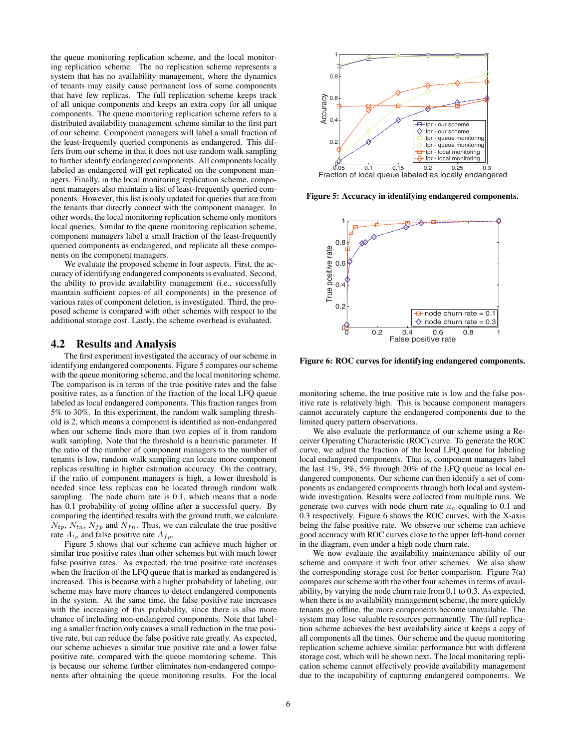the queue monitoring replication scheme, and the local monitoring replication scheme. The no replication scheme represents a system that has no availability management, where the dynamics of tenants may easily cause permanent loss of some components that have few replicas. The full replication scheme keeps track of all unique components and keeps an extra copy for all unique components. The queue monitoring replication scheme refers to a distributed availability management scheme similar to the first part of our scheme. Component managers will label a small fraction of the least-frequently queried components as endangered. This differs from our scheme in that it does not use random walk sampling to further identify endangered components. All components locally labeled as endangered will get replicated on the component managers. Finally, in the local monitoring replication scheme, component managers also maintain a list of least-frequently queried components. However, this list is only updated for queries that are from the tenants that directly connect with the component manager. In other words, the local monitoring replication scheme only monitors local queries. Similar to the queue monitoring replication scheme, component managers label a small fraction of the least-frequently queried components as endangered, and replicate all these components on the component managers.

We evaluate the proposed scheme in four aspects. First, the accuracy of identifying endangered components is evaluated. Second, the ability to provide availability management (i.e., successfully maintain sufficient copies of all components) in the presence of various rates of component deletion, is investigated. Third, the proposed scheme is compared with other schemes with respect to the additional storage cost. Lastly, the scheme overhead is evaluated.

# 4.2 Results and Analysis

The first experiment investigated the accuracy of our scheme in identifying endangered components. Figure 5 compares our scheme with the queue monitoring scheme, and the local monitoring scheme. The comparison is in terms of the true positive rates and the false positive rates, as a function of the fraction of the local LFQ queue labeled as local endangered components. This fraction ranges from 5% to 30%. In this experiment, the random walk sampling threshold is 2, which means a component is identified as non-endangered when our scheme finds more than two copies of it from random walk sampling. Note that the threshold is a heuristic parameter. If the ratio of the number of component managers to the number of tenants is low, random walk sampling can locate more component replicas resulting in higher estimation accuracy. On the contrary, if the ratio of component managers is high, a lower threshold is needed since less replicas can be located through random walk sampling. The node churn rate is 0.1, which means that a node has 0.1 probability of going offline after a successful query. By comparing the identified results with the ground truth, we calculate  $N_{tp}$ ,  $N_{tn}$ ,  $N_{fp}$  and  $N_{fn}$ . Thus, we can calculate the true positive rate A*tp* and false positive rate A*fp*.

Figure 5 shows that our scheme can achieve much higher or similar true positive rates than other schemes but with much lower false positive rates. As expected, the true positive rate increases when the fraction of the LFQ queue that is marked as endangered is increased. This is because with a higher probability of labeling, our scheme may have more chances to detect endangered components in the system. At the same time, the false positive rate increases with the increasing of this probability, since there is also more chance of including non-endangered components. Note that labeling a smaller fraction only causes a small reduction in the true positive rate, but can reduce the false positive rate greatly. As expected, our scheme achieves a similar true positive rate and a lower false positive rate, compared with the queue monitoring scheme. This is because our scheme further eliminates non-endangered components after obtaining the queue monitoring results. For the local



Figure 5: Accuracy in identifying endangered components.



Figure 6: ROC curves for identifying endangered components.

monitoring scheme, the true positive rate is low and the false positive rate is relatively high. This is because component managers cannot accurately capture the endangered components due to the limited query pattern observations.

We also evaluate the performance of our scheme using a Receiver Operating Characteristic (ROC) curve. To generate the ROC curve, we adjust the fraction of the local LFQ queue for labeling local endangered components. That is, component managers label the last 1%, 3%, 5% through 20% of the LFQ queue as local endangered components. Our scheme can then identify a set of components as endangered components through both local and systemwide investigation. Results were collected from multiple runs. We generate two curves with node churn rate  $u_r$  equaling to 0.1 and 0.3 respectively. Figure 6 shows the ROC curves, with the X-axis being the false positive rate. We observe our scheme can achieve good accuracy with ROC curves close to the upper left-hand corner in the diagram, even under a high node churn rate.

We now evaluate the availability maintenance ability of our scheme and compare it with four other schemes. We also show the corresponding storage cost for better comparison. Figure 7(a) compares our scheme with the other four schemes in terms of availability, by varying the node churn rate from 0.1 to 0.3. As expected, when there is no availability management scheme, the more quickly tenants go offline, the more components become unavailable. The system may lose valuable resources permanently. The full replication scheme achieves the best availability since it keeps a copy of all components all the times. Our scheme and the queue monitoring replication scheme achieve similar performance but with different storage cost, which will be shown next. The local monitoring replication scheme cannot effectively provide availability management due to the incapability of capturing endangered components. We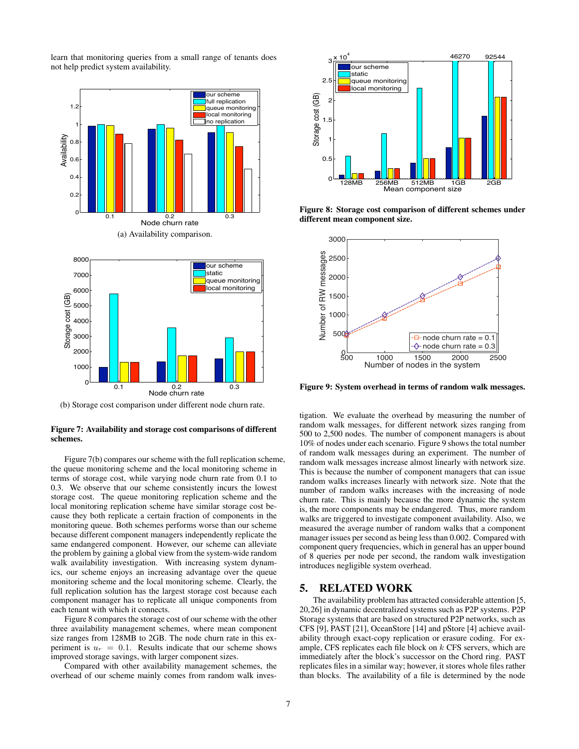learn that monitoring queries from a small range of tenants does not help predict system availability.





(b) Storage cost comparison under different node churn rate.

#### Figure 7: Availability and storage cost comparisons of different schemes.

Figure 7(b) compares our scheme with the full replication scheme, the queue monitoring scheme and the local monitoring scheme in terms of storage cost, while varying node churn rate from 0.1 to 0.3. We observe that our scheme consistently incurs the lowest storage cost. The queue monitoring replication scheme and the local monitoring replication scheme have similar storage cost because they both replicate a certain fraction of components in the monitoring queue. Both schemes performs worse than our scheme because different component managers independently replicate the same endangered component. However, our scheme can alleviate the problem by gaining a global view from the system-wide random walk availability investigation. With increasing system dynamics, our scheme enjoys an increasing advantage over the queue monitoring scheme and the local monitoring scheme. Clearly, the full replication solution has the largest storage cost because each component manager has to replicate all unique components from each tenant with which it connects.

Figure 8 compares the storage cost of our scheme with the other three availability management schemes, where mean component size ranges from 128MB to 2GB. The node churn rate in this experiment is  $u_r = 0.1$ . Results indicate that our scheme shows improved storage savings, with larger component sizes.

Compared with other availability management schemes, the overhead of our scheme mainly comes from random walk inves-



Figure 8: Storage cost comparison of different schemes under different mean component size.



Figure 9: System overhead in terms of random walk messages.

tigation. We evaluate the overhead by measuring the number of random walk messages, for different network sizes ranging from 500 to 2,500 nodes. The number of component managers is about 10% of nodes under each scenario. Figure 9 shows the total number of random walk messages during an experiment. The number of random walk messages increase almost linearly with network size. This is because the number of component managers that can issue random walks increases linearly with network size. Note that the number of random walks increases with the increasing of node churn rate. This is mainly because the more dynamic the system is, the more components may be endangered. Thus, more random walks are triggered to investigate component availability. Also, we measured the average number of random walks that a component manager issues per second as being less than 0.002. Compared with component query frequencies, which in general has an upper bound of 8 queries per node per second, the random walk investigation introduces negligible system overhead.

## 5. RELATED WORK

The availability problem has attracted considerable attention [5, 20,26] in dynamic decentralized systems such as P2P systems. P2P Storage systems that are based on structured P2P networks, such as CFS [9], PAST [21], OceanStore [14] and pStore [4] achieve availability through exact-copy replication or erasure coding. For example, CFS replicates each file block on k CFS servers, which are immediately after the block's successor on the Chord ring. PAST replicates files in a similar way; however, it stores whole files rather than blocks. The availability of a file is determined by the node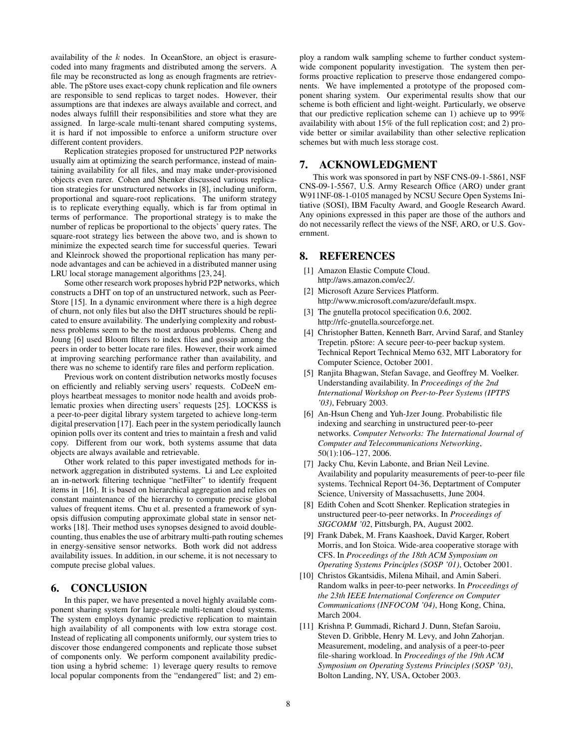availability of the  $k$  nodes. In OceanStore, an object is erasurecoded into many fragments and distributed among the servers. A file may be reconstructed as long as enough fragments are retrievable. The pStore uses exact-copy chunk replication and file owners are responsible to send replicas to target nodes. However, their assumptions are that indexes are always available and correct, and nodes always fulfill their responsibilities and store what they are assigned. In large-scale multi-tenant shared computing systems, it is hard if not impossible to enforce a uniform structure over different content providers.

Replication strategies proposed for unstructured P2P networks usually aim at optimizing the search performance, instead of maintaining availability for all files, and may make under-provisioned objects even rarer. Cohen and Shenker discussed various replication strategies for unstructured networks in [8], including uniform, proportional and square-root replications. The uniform strategy is to replicate everything equally, which is far from optimal in terms of performance. The proportional strategy is to make the number of replicas be proportional to the objects' query rates. The square-root strategy lies between the above two, and is shown to minimize the expected search time for successful queries. Tewari and Kleinrock showed the proportional replication has many pernode advantages and can be achieved in a distributed manner using LRU local storage management algorithms [23, 24].

Some other research work proposes hybrid P2P networks, which constructs a DHT on top of an unstructured network, such as Peer-Store [15]. In a dynamic environment where there is a high degree of churn, not only files but also the DHT structures should be replicated to ensure availability. The underlying complexity and robustness problems seem to be the most arduous problems. Cheng and Joung [6] used Bloom filters to index files and gossip among the peers in order to better locate rare files. However, their work aimed at improving searching performance rather than availability, and there was no scheme to identify rare files and perform replication.

Previous work on content distribution networks mostly focuses on efficiently and reliably serving users' requests. CoDeeN employs heartbeat messages to monitor node health and avoids problematic proxies when directing users' requests [25]. LOCKSS is a peer-to-peer digital library system targeted to achieve long-term digital preservation [17]. Each peer in the system periodically launch opinion polls over its content and tries to maintain a fresh and valid copy. Different from our work, both systems assume that data objects are always available and retrievable.

Other work related to this paper investigated methods for innetwork aggregation in distributed systems. Li and Lee exploited an in-network filtering technique "netFilter" to identify frequent items in [16]. It is based on hierarchical aggregation and relies on constant maintenance of the hierarchy to compute precise global values of frequent items. Chu et al. presented a framework of synopsis diffusion computing approximate global state in sensor networks [18]. Their method uses synopses designed to avoid doublecounting, thus enables the use of arbitrary multi-path routing schemes in energy-sensitive sensor networks. Both work did not address availability issues. In addition, in our scheme, it is not necessary to compute precise global values.

## 6. CONCLUSION

In this paper, we have presented a novel highly available component sharing system for large-scale multi-tenant cloud systems. The system employs dynamic predictive replication to maintain high availability of all components with low extra storage cost. Instead of replicating all components uniformly, our system tries to discover those endangered components and replicate those subset of components only. We perform component availability prediction using a hybrid scheme: 1) leverage query results to remove local popular components from the "endangered" list; and 2) employ a random walk sampling scheme to further conduct systemwide component popularity investigation. The system then performs proactive replication to preserve those endangered components. We have implemented a prototype of the proposed component sharing system. Our experimental results show that our scheme is both efficient and light-weight. Particularly, we observe that our predictive replication scheme can 1) achieve up to 99% availability with about 15% of the full replication cost; and 2) provide better or similar availability than other selective replication schemes but with much less storage cost.

# 7. ACKNOWLEDGMENT

This work was sponsored in part by NSF CNS-09-1-5861, NSF CNS-09-1-5567, U.S. Army Research Office (ARO) under grant W911NF-08-1-0105 managed by NCSU Secure Open Systems Initiative (SOSI), IBM Faculty Award, and Google Research Award. Any opinions expressed in this paper are those of the authors and do not necessarily reflect the views of the NSF, ARO, or U.S. Government.

# 8. REFERENCES

- [1] Amazon Elastic Compute Cloud. http://aws.amazon.com/ec2/.
- [2] Microsoft Azure Services Platform. http://www.microsoft.com/azure/default.mspx.
- [3] The gnutella protocol specification 0.6, 2002. http://rfc-gnutella.sourceforge.net.
- [4] Christopher Batten, Kenneth Barr, Arvind Saraf, and Stanley Trepetin. pStore: A secure peer-to-peer backup system. Technical Report Technical Memo 632, MIT Laboratory for Computer Science, October 2001.
- [5] Ranjita Bhagwan, Stefan Savage, and Geoffrey M. Voelker. Understanding availability. In *Proceedings of the 2nd International Workshop on Peer-to-Peer Systems (IPTPS '03)*, February 2003.
- [6] An-Hsun Cheng and Yuh-Jzer Joung. Probabilistic file indexing and searching in unstructured peer-to-peer networks. *Computer Networks: The International Journal of Computer and Telecommunications Networking*, 50(1):106–127, 2006.
- [7] Jacky Chu, Kevin Labonte, and Brian Neil Levine. Availability and popularity measurements of peer-to-peer file systems. Technical Report 04-36, Deptartment of Computer Science, University of Massachusetts, June 2004.
- [8] Edith Cohen and Scott Shenker. Replication strategies in unstructured peer-to-peer networks. In *Proceedings of SIGCOMM '02*, Pittsburgh, PA, August 2002.
- [9] Frank Dabek, M. Frans Kaashoek, David Karger, Robert Morris, and Ion Stoica. Wide-area cooperative storage with CFS. In *Proceedings of the 18th ACM Symposium on Operating Systems Principles (SOSP '01)*, October 2001.
- [10] Christos Gkantsidis, Milena Mihail, and Amin Saberi. Random walks in peer-to-peer networks. In *Proceedings of the 23th IEEE International Conference on Computer Communications (INFOCOM '04)*, Hong Kong, China, March 2004.
- [11] Krishna P. Gummadi, Richard J. Dunn, Stefan Saroiu, Steven D. Gribble, Henry M. Levy, and John Zahorjan. Measurement, modeling, and analysis of a peer-to-peer file-sharing workload. In *Proceedings of the 19th ACM Symposium on Operating Systems Principles (SOSP '03)*, Bolton Landing, NY, USA, October 2003.